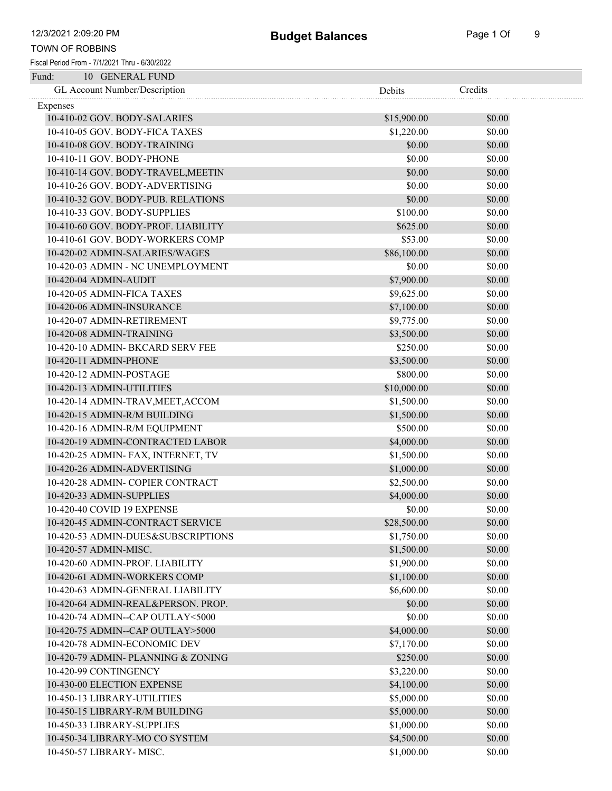| Fund:<br>10 GENERAL FUND            |             |         |
|-------------------------------------|-------------|---------|
| GL Account Number/Description       | Debits      | Credits |
| Expenses                            |             |         |
| 10-410-02 GOV. BODY-SALARIES        | \$15,900.00 | \$0.00  |
| 10-410-05 GOV. BODY-FICA TAXES      | \$1,220.00  | \$0.00  |
| 10-410-08 GOV. BODY-TRAINING        | \$0.00      | \$0.00  |
| 10-410-11 GOV. BODY-PHONE           | \$0.00      | \$0.00  |
| 10-410-14 GOV. BODY-TRAVEL, MEETIN  | \$0.00      | \$0.00  |
| 10-410-26 GOV. BODY-ADVERTISING     | \$0.00      | \$0.00  |
| 10-410-32 GOV. BODY-PUB. RELATIONS  | \$0.00      | \$0.00  |
| 10-410-33 GOV. BODY-SUPPLIES        | \$100.00    | \$0.00  |
| 10-410-60 GOV. BODY-PROF. LIABILITY | \$625.00    | \$0.00  |
| 10-410-61 GOV. BODY-WORKERS COMP    | \$53.00     | \$0.00  |
| 10-420-02 ADMIN-SALARIES/WAGES      | \$86,100.00 | \$0.00  |
| 10-420-03 ADMIN - NC UNEMPLOYMENT   | \$0.00      | \$0.00  |
| 10-420-04 ADMIN-AUDIT               | \$7,900.00  | \$0.00  |
| 10-420-05 ADMIN-FICA TAXES          | \$9,625.00  | \$0.00  |
| 10-420-06 ADMIN-INSURANCE           | \$7,100.00  | \$0.00  |
| 10-420-07 ADMIN-RETIREMENT          | \$9,775.00  | \$0.00  |
| 10-420-08 ADMIN-TRAINING            | \$3,500.00  | \$0.00  |
| 10-420-10 ADMIN- BKCARD SERV FEE    | \$250.00    | \$0.00  |
| 10-420-11 ADMIN-PHONE               | \$3,500.00  | \$0.00  |
| 10-420-12 ADMIN-POSTAGE             | \$800.00    | \$0.00  |
| 10-420-13 ADMIN-UTILITIES           | \$10,000.00 | \$0.00  |
| 10-420-14 ADMIN-TRAV, MEET, ACCOM   | \$1,500.00  | \$0.00  |
| 10-420-15 ADMIN-R/M BUILDING        | \$1,500.00  | \$0.00  |
| 10-420-16 ADMIN-R/M EQUIPMENT       | \$500.00    | \$0.00  |
| 10-420-19 ADMIN-CONTRACTED LABOR    | \$4,000.00  | \$0.00  |
| 10-420-25 ADMIN- FAX, INTERNET, TV  | \$1,500.00  | \$0.00  |
| 10-420-26 ADMIN-ADVERTISING         | \$1,000.00  | \$0.00  |
| 10-420-28 ADMIN- COPIER CONTRACT    | \$2,500.00  | \$0.00  |
| 10-420-33 ADMIN-SUPPLIES            | \$4,000.00  | \$0.00  |
| 10-420-40 COVID 19 EXPENSE          | \$0.00      | \$0.00  |
| 10-420-45 ADMIN-CONTRACT SERVICE    | \$28,500.00 | \$0.00  |
| 10-420-53 ADMIN-DUES&SUBSCRIPTIONS  | \$1,750.00  | \$0.00  |
| 10-420-57 ADMIN-MISC.               | \$1,500.00  | \$0.00  |
| 10-420-60 ADMIN-PROF. LIABILITY     | \$1,900.00  | \$0.00  |
| 10-420-61 ADMIN-WORKERS COMP        | \$1,100.00  | \$0.00  |
| 10-420-63 ADMIN-GENERAL LIABILITY   | \$6,600.00  | \$0.00  |
| 10-420-64 ADMIN-REAL&PERSON. PROP.  | \$0.00      | \$0.00  |
| 10-420-74 ADMIN--CAP OUTLAY<5000    | \$0.00      | \$0.00  |
| 10-420-75 ADMIN--CAP OUTLAY>5000    | \$4,000.00  | \$0.00  |
| 10-420-78 ADMIN-ECONOMIC DEV        | \$7,170.00  | \$0.00  |
| 10-420-79 ADMIN- PLANNING & ZONING  | \$250.00    | \$0.00  |
| 10-420-99 CONTINGENCY               | \$3,220.00  | \$0.00  |
| 10-430-00 ELECTION EXPENSE          | \$4,100.00  | \$0.00  |
| 10-450-13 LIBRARY-UTILITIES         | \$5,000.00  | \$0.00  |
| 10-450-15 LIBRARY-R/M BUILDING      | \$5,000.00  | \$0.00  |
| 10-450-33 LIBRARY-SUPPLIES          | \$1,000.00  | \$0.00  |
| 10-450-34 LIBRARY-MO CO SYSTEM      | \$4,500.00  | \$0.00  |
| 10-450-57 LIBRARY- MISC.            | \$1,000.00  | \$0.00  |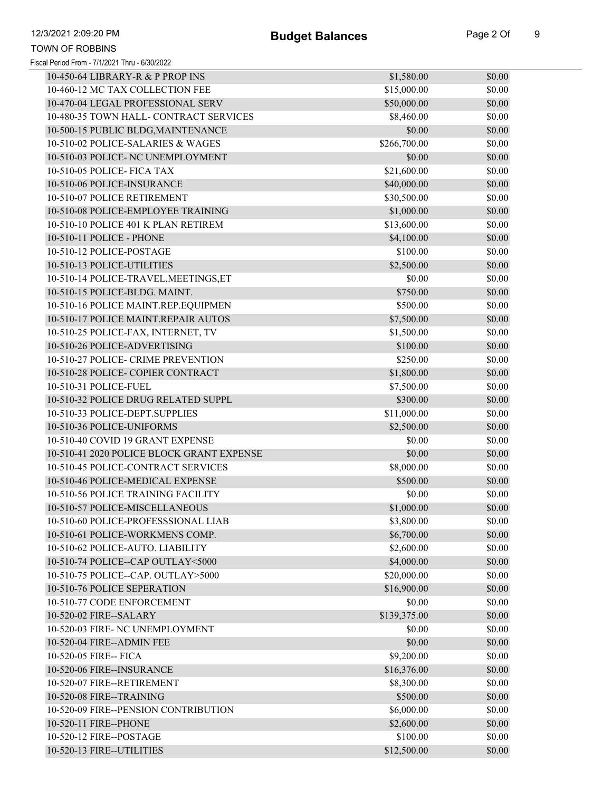| 10-450-64 LIBRARY-R & P PROP INS          | \$1,580.00   | \$0.00 |
|-------------------------------------------|--------------|--------|
| 10-460-12 MC TAX COLLECTION FEE           | \$15,000.00  | \$0.00 |
| 10-470-04 LEGAL PROFESSIONAL SERV         | \$50,000.00  | \$0.00 |
| 10-480-35 TOWN HALL- CONTRACT SERVICES    | \$8,460.00   | \$0.00 |
| 10-500-15 PUBLIC BLDG, MAINTENANCE        | \$0.00       | \$0.00 |
| 10-510-02 POLICE-SALARIES & WAGES         | \$266,700.00 | \$0.00 |
| 10-510-03 POLICE- NC UNEMPLOYMENT         | \$0.00       | \$0.00 |
| 10-510-05 POLICE- FICA TAX                | \$21,600.00  | \$0.00 |
| 10-510-06 POLICE-INSURANCE                | \$40,000.00  | \$0.00 |
| 10-510-07 POLICE RETIREMENT               | \$30,500.00  | \$0.00 |
| 10-510-08 POLICE-EMPLOYEE TRAINING        | \$1,000.00   | \$0.00 |
| 10-510-10 POLICE 401 K PLAN RETIREM       | \$13,600.00  | \$0.00 |
| 10-510-11 POLICE - PHONE                  | \$4,100.00   | \$0.00 |
| 10-510-12 POLICE-POSTAGE                  | \$100.00     | \$0.00 |
| 10-510-13 POLICE-UTILITIES                | \$2,500.00   | \$0.00 |
| 10-510-14 POLICE-TRAVEL, MEETINGS, ET     | \$0.00       | \$0.00 |
| 10-510-15 POLICE-BLDG. MAINT.             | \$750.00     | \$0.00 |
| 10-510-16 POLICE MAINT.REP.EQUIPMEN       | \$500.00     | \$0.00 |
| 10-510-17 POLICE MAINT.REPAIR AUTOS       | \$7,500.00   | \$0.00 |
| 10-510-25 POLICE-FAX, INTERNET, TV        | \$1,500.00   | \$0.00 |
| 10-510-26 POLICE-ADVERTISING              | \$100.00     | \$0.00 |
| 10-510-27 POLICE- CRIME PREVENTION        | \$250.00     | \$0.00 |
| 10-510-28 POLICE- COPIER CONTRACT         | \$1,800.00   | \$0.00 |
| 10-510-31 POLICE-FUEL                     | \$7,500.00   | \$0.00 |
| 10-510-32 POLICE DRUG RELATED SUPPL       | \$300.00     | \$0.00 |
| 10-510-33 POLICE-DEPT.SUPPLIES            | \$11,000.00  | \$0.00 |
| 10-510-36 POLICE-UNIFORMS                 | \$2,500.00   | \$0.00 |
| 10-510-40 COVID 19 GRANT EXPENSE          | \$0.00       | \$0.00 |
| 10-510-41 2020 POLICE BLOCK GRANT EXPENSE | \$0.00       | \$0.00 |
| 10-510-45 POLICE-CONTRACT SERVICES        | \$8,000.00   | \$0.00 |
| 10-510-46 POLICE-MEDICAL EXPENSE          | \$500.00     | \$0.00 |
| 10-510-56 POLICE TRAINING FACILITY        | \$0.00       | \$0.00 |
| 10-510-57 POLICE-MISCELLANEOUS            | \$1,000.00   | \$0.00 |
| 10-510-60 POLICE-PROFESSSIONAL LIAB       | \$3,800.00   | \$0.00 |
| 10-510-61 POLICE-WORKMENS COMP.           | \$6,700.00   | \$0.00 |
| 10-510-62 POLICE-AUTO. LIABILITY          | \$2,600.00   | \$0.00 |
| 10-510-74 POLICE--CAP OUTLAY<5000         | \$4,000.00   | \$0.00 |
| 10-510-75 POLICE--CAP. OUTLAY>5000        | \$20,000.00  | \$0.00 |
| 10-510-76 POLICE SEPERATION               | \$16,900.00  | \$0.00 |
| 10-510-77 CODE ENFORCEMENT                | \$0.00       | \$0.00 |
| 10-520-02 FIRE--SALARY                    | \$139,375.00 | \$0.00 |
| 10-520-03 FIRE- NC UNEMPLOYMENT           | \$0.00       | \$0.00 |
| 10-520-04 FIRE--ADMIN FEE                 | \$0.00       | \$0.00 |
| 10-520-05 FIRE-- FICA                     | \$9,200.00   | \$0.00 |
| 10-520-06 FIRE--INSURANCE                 | \$16,376.00  | \$0.00 |
| 10-520-07 FIRE--RETIREMENT                | \$8,300.00   | \$0.00 |
| 10-520-08 FIRE--TRAINING                  | \$500.00     | \$0.00 |
| 10-520-09 FIRE--PENSION CONTRIBUTION      | \$6,000.00   | \$0.00 |
| 10-520-11 FIRE--PHONE                     | \$2,600.00   | \$0.00 |
| 10-520-12 FIRE--POSTAGE                   | \$100.00     | \$0.00 |
| 10-520-13 FIRE--UTILITIES                 | \$12,500.00  | \$0.00 |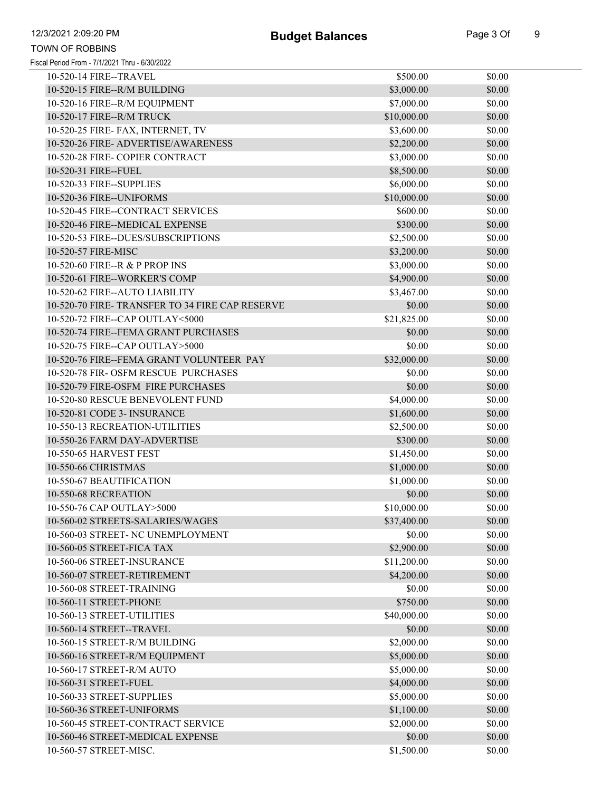Fiscal Period From - 7/1/2021 Thru - 6/30/2022 TOWN OF ROBBINS

| 10-520-14 FIRE--TRAVEL                          | \$500.00    | \$0.00 |
|-------------------------------------------------|-------------|--------|
| 10-520-15 FIRE--R/M BUILDING                    | \$3,000.00  | \$0.00 |
| 10-520-16 FIRE--R/M EQUIPMENT                   | \$7,000.00  | \$0.00 |
| 10-520-17 FIRE--R/M TRUCK                       | \$10,000.00 | \$0.00 |
| 10-520-25 FIRE- FAX, INTERNET, TV               | \$3,600.00  | \$0.00 |
| 10-520-26 FIRE- ADVERTISE/AWARENESS             | \$2,200.00  | \$0.00 |
| 10-520-28 FIRE- COPIER CONTRACT                 | \$3,000.00  | \$0.00 |
| 10-520-31 FIRE--FUEL                            | \$8,500.00  | \$0.00 |
| 10-520-33 FIRE--SUPPLIES                        | \$6,000.00  | \$0.00 |
| 10-520-36 FIRE--UNIFORMS                        | \$10,000.00 | \$0.00 |
| 10-520-45 FIRE--CONTRACT SERVICES               | \$600.00    | \$0.00 |
| 10-520-46 FIRE--MEDICAL EXPENSE                 | \$300.00    | \$0.00 |
| 10-520-53 FIRE--DUES/SUBSCRIPTIONS              | \$2,500.00  | \$0.00 |
| 10-520-57 FIRE-MISC                             | \$3,200.00  | \$0.00 |
| 10-520-60 FIRE--R & P PROP INS                  | \$3,000.00  | \$0.00 |
| 10-520-61 FIRE--WORKER'S COMP                   | \$4,900.00  | \$0.00 |
| 10-520-62 FIRE--AUTO LIABILITY                  | \$3,467.00  | \$0.00 |
| 10-520-70 FIRE- TRANSFER TO 34 FIRE CAP RESERVE | \$0.00      | \$0.00 |
| 10-520-72 FIRE--CAP OUTLAY<5000                 | \$21,825.00 | \$0.00 |
| 10-520-74 FIRE--FEMA GRANT PURCHASES            | \$0.00      | \$0.00 |
| 10-520-75 FIRE--CAP OUTLAY>5000                 | \$0.00      | \$0.00 |
| 10-520-76 FIRE--FEMA GRANT VOLUNTEER PAY        | \$32,000.00 | \$0.00 |
| 10-520-78 FIR- OSFM RESCUE PURCHASES            | \$0.00      | \$0.00 |
| 10-520-79 FIRE-OSFM FIRE PURCHASES              | \$0.00      | \$0.00 |
| 10-520-80 RESCUE BENEVOLENT FUND                | \$4,000.00  | \$0.00 |
| 10-520-81 CODE 3- INSURANCE                     | \$1,600.00  | \$0.00 |
| 10-550-13 RECREATION-UTILITIES                  | \$2,500.00  | \$0.00 |
| 10-550-26 FARM DAY-ADVERTISE                    | \$300.00    | \$0.00 |
| 10-550-65 HARVEST FEST                          | \$1,450.00  | \$0.00 |
| 10-550-66 CHRISTMAS                             | \$1,000.00  | \$0.00 |
| 10-550-67 BEAUTIFICATION                        | \$1,000.00  | \$0.00 |
| 10-550-68 RECREATION                            | \$0.00      | \$0.00 |
| 10-550-76 CAP OUTLAY>5000                       | \$10,000.00 | \$0.00 |
| 10-560-02 STREETS-SALARIES/WAGES                | \$37,400.00 | \$0.00 |
| 10-560-03 STREET- NC UNEMPLOYMENT               | \$0.00      | \$0.00 |
| 10-560-05 STREET-FICA TAX                       | \$2,900.00  | \$0.00 |
| 10-560-06 STREET-INSURANCE                      | \$11,200.00 | \$0.00 |
| 10-560-07 STREET-RETIREMENT                     | \$4,200.00  | \$0.00 |
| 10-560-08 STREET-TRAINING                       | \$0.00      | \$0.00 |
| 10-560-11 STREET-PHONE                          | \$750.00    | \$0.00 |
| 10-560-13 STREET-UTILITIES                      | \$40,000.00 | \$0.00 |
| 10-560-14 STREET--TRAVEL                        | \$0.00      | \$0.00 |
| 10-560-15 STREET-R/M BUILDING                   | \$2,000.00  | \$0.00 |
| 10-560-16 STREET-R/M EQUIPMENT                  | \$5,000.00  | \$0.00 |
| 10-560-17 STREET-R/M AUTO                       | \$5,000.00  | \$0.00 |
| 10-560-31 STREET-FUEL                           | \$4,000.00  | \$0.00 |
| 10-560-33 STREET-SUPPLIES                       | \$5,000.00  | \$0.00 |
| 10-560-36 STREET-UNIFORMS                       | \$1,100.00  | \$0.00 |
| 10-560-45 STREET-CONTRACT SERVICE               | \$2,000.00  | \$0.00 |
| 10-560-46 STREET-MEDICAL EXPENSE                | \$0.00      | \$0.00 |
| 10-560-57 STREET-MISC.                          | \$1,500.00  | \$0.00 |
|                                                 |             |        |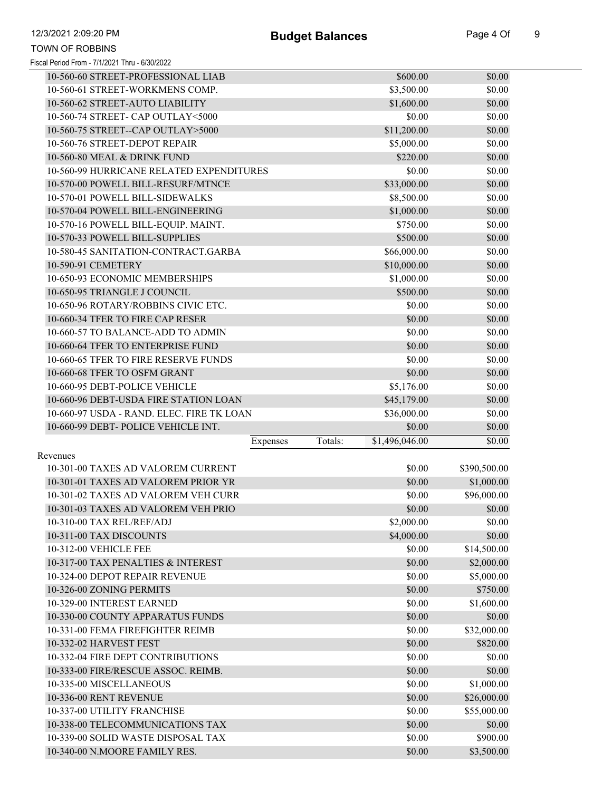| Fiscal Period From - 7/1/2021 Thru - 6/30/2022 |  |  |
|------------------------------------------------|--|--|
|------------------------------------------------|--|--|

| 10-560-60 STREET-PROFESSIONAL LIAB        |          |         | \$600.00       | \$0.00       |
|-------------------------------------------|----------|---------|----------------|--------------|
| 10-560-61 STREET-WORKMENS COMP.           |          |         | \$3,500.00     | \$0.00       |
| 10-560-62 STREET-AUTO LIABILITY           |          |         | \$1,600.00     | \$0.00       |
| 10-560-74 STREET- CAP OUTLAY<5000         |          |         | \$0.00         | \$0.00       |
| 10-560-75 STREET--CAP OUTLAY>5000         |          |         | \$11,200.00    | \$0.00       |
| 10-560-76 STREET-DEPOT REPAIR             |          |         | \$5,000.00     | \$0.00       |
| 10-560-80 MEAL & DRINK FUND               |          |         | \$220.00       | \$0.00       |
| 10-560-99 HURRICANE RELATED EXPENDITURES  |          |         | \$0.00         | \$0.00       |
| 10-570-00 POWELL BILL-RESURF/MTNCE        |          |         | \$33,000.00    | \$0.00       |
| 10-570-01 POWELL BILL-SIDEWALKS           |          |         | \$8,500.00     | \$0.00       |
| 10-570-04 POWELL BILL-ENGINEERING         |          |         | \$1,000.00     | \$0.00       |
| 10-570-16 POWELL BILL-EQUIP. MAINT.       |          |         | \$750.00       | \$0.00       |
| 10-570-33 POWELL BILL-SUPPLIES            |          |         | \$500.00       | \$0.00       |
| 10-580-45 SANITATION-CONTRACT.GARBA       |          |         | \$66,000.00    | \$0.00       |
| 10-590-91 CEMETERY                        |          |         | \$10,000.00    | \$0.00       |
| 10-650-93 ECONOMIC MEMBERSHIPS            |          |         | \$1,000.00     | \$0.00       |
| 10-650-95 TRIANGLE J COUNCIL              |          |         | \$500.00       | \$0.00       |
| 10-650-96 ROTARY/ROBBINS CIVIC ETC.       |          |         | \$0.00         | \$0.00       |
| 10-660-34 TFER TO FIRE CAP RESER          |          |         | \$0.00         | \$0.00       |
| 10-660-57 TO BALANCE-ADD TO ADMIN         |          |         | \$0.00         | \$0.00       |
| 10-660-64 TFER TO ENTERPRISE FUND         |          |         | \$0.00         | \$0.00       |
| 10-660-65 TFER TO FIRE RESERVE FUNDS      |          |         | \$0.00         | \$0.00       |
| 10-660-68 TFER TO OSFM GRANT              |          |         | \$0.00         | \$0.00       |
| 10-660-95 DEBT-POLICE VEHICLE             |          |         | \$5,176.00     | \$0.00       |
| 10-660-96 DEBT-USDA FIRE STATION LOAN     |          |         | \$45,179.00    | \$0.00       |
| 10-660-97 USDA - RAND. ELEC. FIRE TK LOAN |          |         | \$36,000.00    | \$0.00       |
| 10-660-99 DEBT- POLICE VEHICLE INT.       |          |         | \$0.00         | \$0.00       |
|                                           | Expenses | Totals: | \$1,496,046.00 | \$0.00       |
| Revenues                                  |          |         |                |              |
| 10-301-00 TAXES AD VALOREM CURRENT        |          |         | \$0.00         | \$390,500.00 |
| 10-301-01 TAXES AD VALOREM PRIOR YR       |          |         | \$0.00         | \$1,000.00   |
| 10-301-02 TAXES AD VALOREM VEH CURR       |          |         | \$0.00         | \$96,000.00  |
| 10-301-03 TAXES AD VALOREM VEH PRIO       |          |         | \$0.00         | \$0.00       |
| 10-310-00 TAX REL/REF/ADJ                 |          |         | \$2,000.00     | \$0.00       |
| 10-311-00 TAX DISCOUNTS                   |          |         | \$4,000.00     | \$0.00       |
| 10-312-00 VEHICLE FEE                     |          |         | \$0.00         | \$14,500.00  |
| 10-317-00 TAX PENALTIES & INTEREST        |          |         | \$0.00         | \$2,000.00   |
| 10-324-00 DEPOT REPAIR REVENUE            |          |         | \$0.00         | \$5,000.00   |
| 10-326-00 ZONING PERMITS                  |          |         | \$0.00         | \$750.00     |
| 10-329-00 INTEREST EARNED                 |          |         | \$0.00         | \$1,600.00   |
| 10-330-00 COUNTY APPARATUS FUNDS          |          |         | \$0.00         | \$0.00       |
| 10-331-00 FEMA FIREFIGHTER REIMB          |          |         | \$0.00         | \$32,000.00  |
| 10-332-02 HARVEST FEST                    |          |         | \$0.00         | \$820.00     |
| 10-332-04 FIRE DEPT CONTRIBUTIONS         |          |         | \$0.00         | \$0.00       |
| 10-333-00 FIRE/RESCUE ASSOC. REIMB.       |          |         | \$0.00         | \$0.00       |
| 10-335-00 MISCELLANEOUS                   |          |         | \$0.00         | \$1,000.00   |
| 10-336-00 RENT REVENUE                    |          |         | \$0.00         | \$26,000.00  |
| 10-337-00 UTILITY FRANCHISE               |          |         | \$0.00         | \$55,000.00  |
| 10-338-00 TELECOMMUNICATIONS TAX          |          |         | \$0.00         | \$0.00       |
| 10-339-00 SOLID WASTE DISPOSAL TAX        |          |         | \$0.00         | \$900.00     |
|                                           |          |         |                |              |

10-340-00 N.MOORE FAMILY RES. \$0.00 \$3,500.00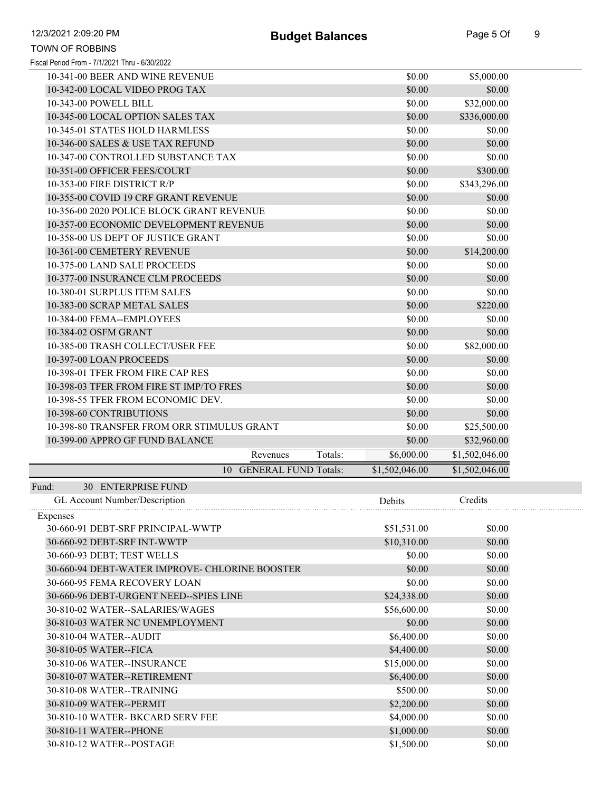| 12/3/2021 2:09:20 PM                           |                         | <b>Budget Balances</b> |                | Page 5 Of      |
|------------------------------------------------|-------------------------|------------------------|----------------|----------------|
| <b>TOWN OF ROBBINS</b>                         |                         |                        |                |                |
| Fiscal Period From - 7/1/2021 Thru - 6/30/2022 |                         |                        |                |                |
| 10-341-00 BEER AND WINE REVENUE                |                         |                        | \$0.00         | \$5,000.00     |
| 10-342-00 LOCAL VIDEO PROG TAX                 |                         |                        | \$0.00         | \$0.00         |
| 10-343-00 POWELL BILL                          |                         |                        | \$0.00         | \$32,000.00    |
| 10-345-00 LOCAL OPTION SALES TAX               |                         |                        | \$0.00         | \$336,000.00   |
| 10-345-01 STATES HOLD HARMLESS                 |                         |                        | \$0.00         | \$0.00         |
| 10-346-00 SALES & USE TAX REFUND               |                         |                        | \$0.00         | \$0.00         |
| 10-347-00 CONTROLLED SUBSTANCE TAX             |                         |                        | \$0.00         | \$0.00         |
| 10-351-00 OFFICER FEES/COURT                   |                         |                        | \$0.00         | \$300.00       |
| 10-353-00 FIRE DISTRICT R/P                    |                         |                        | \$0.00         | \$343,296.00   |
| 10-355-00 COVID 19 CRF GRANT REVENUE           |                         |                        | \$0.00         | \$0.00         |
| 10-356-00 2020 POLICE BLOCK GRANT REVENUE      |                         |                        | \$0.00         | \$0.00         |
| 10-357-00 ECONOMIC DEVELOPMENT REVENUE         |                         |                        | \$0.00         | \$0.00         |
| 10-358-00 US DEPT OF JUSTICE GRANT             |                         |                        | \$0.00         | \$0.00         |
| 10-361-00 CEMETERY REVENUE                     |                         |                        | \$0.00         | \$14,200.00    |
| 10-375-00 LAND SALE PROCEEDS                   |                         |                        | \$0.00         | \$0.00         |
| 10-377-00 INSURANCE CLM PROCEEDS               |                         |                        | \$0.00         | \$0.00         |
| 10-380-01 SURPLUS ITEM SALES                   |                         |                        | \$0.00         | \$0.00         |
| 10-383-00 SCRAP METAL SALES                    |                         |                        | \$0.00         | \$220.00       |
| 10-384-00 FEMA--EMPLOYEES                      |                         |                        | \$0.00         | \$0.00         |
| 10-384-02 OSFM GRANT                           |                         |                        | \$0.00         | \$0.00         |
| 10-385-00 TRASH COLLECT/USER FEE               |                         |                        | \$0.00         | \$82,000.00    |
| 10-397-00 LOAN PROCEEDS                        |                         |                        | \$0.00         |                |
| 10-398-01 TFER FROM FIRE CAP RES               |                         |                        |                | \$0.00         |
| 10-398-03 TFER FROM FIRE ST IMP/TO FRES        |                         |                        | \$0.00         | \$0.00         |
|                                                |                         |                        | \$0.00         | \$0.00         |
| 10-398-55 TFER FROM ECONOMIC DEV.              |                         |                        | \$0.00         | \$0.00         |
| 10-398-60 CONTRIBUTIONS                        |                         |                        | \$0.00         | \$0.00         |
| 10-398-80 TRANSFER FROM ORR STIMULUS GRANT     |                         |                        | \$0.00         | \$25,500.00    |
| 10-399-00 APPRO GF FUND BALANCE                |                         |                        | \$0.00         | \$32,960.00    |
|                                                | Revenues                | Totals:                | \$6,000.00     | \$1,502,046.00 |
|                                                | 10 GENERAL FUND Totals: |                        | \$1,502,046.00 | \$1,502,046.00 |
| 30 ENTERPRISE FUND<br>Fund:                    |                         |                        |                |                |
| GL Account Number/Description                  |                         |                        | Debits         | Credits        |
| Expenses                                       |                         |                        |                |                |
| 30-660-91 DEBT-SRF PRINCIPAL-WWTP              |                         |                        | \$51,531.00    | \$0.00         |
| 30-660-92 DEBT-SRF INT-WWTP                    |                         |                        | \$10,310.00    | \$0.00         |
| 30-660-93 DEBT; TEST WELLS                     |                         |                        | \$0.00         | \$0.00         |
| 30-660-94 DEBT-WATER IMPROVE- CHLORINE BOOSTER |                         |                        | \$0.00         | \$0.00         |
| 30-660-95 FEMA RECOVERY LOAN                   |                         |                        | \$0.00         | \$0.00         |
| 30-660-96 DEBT-URGENT NEED--SPIES LINE         |                         |                        | \$24,338.00    | \$0.00         |
| 30-810-02 WATER--SALARIES/WAGES                |                         |                        | \$56,600.00    | \$0.00         |
| 30-810-03 WATER NC UNEMPLOYMENT                |                         |                        | \$0.00         | \$0.00         |
| 30-810-04 WATER--AUDIT                         |                         |                        | \$6,400.00     | \$0.00         |
| 30-810-05 WATER--FICA                          |                         |                        | \$4,400.00     | \$0.00         |
| 30-810-06 WATER--INSURANCE                     |                         |                        | \$15,000.00    | \$0.00         |
| 30-810-07 WATER--RETIREMENT                    |                         |                        | \$6,400.00     | \$0.00         |
| 30-810-08 WATER--TRAINING                      |                         |                        | \$500.00       | \$0.00         |
| 30-810-09 WATER--PERMIT                        |                         |                        | \$2,200.00     | \$0.00         |
| 30-810-10 WATER- BKCARD SERV FEE               |                         |                        | \$4,000.00     | \$0.00         |
| 30-810-11 WATER--PHONE                         |                         |                        | \$1,000.00     | \$0.00         |
| 30-810-12 WATER--POSTAGE                       |                         |                        | \$1,500.00     | \$0.00         |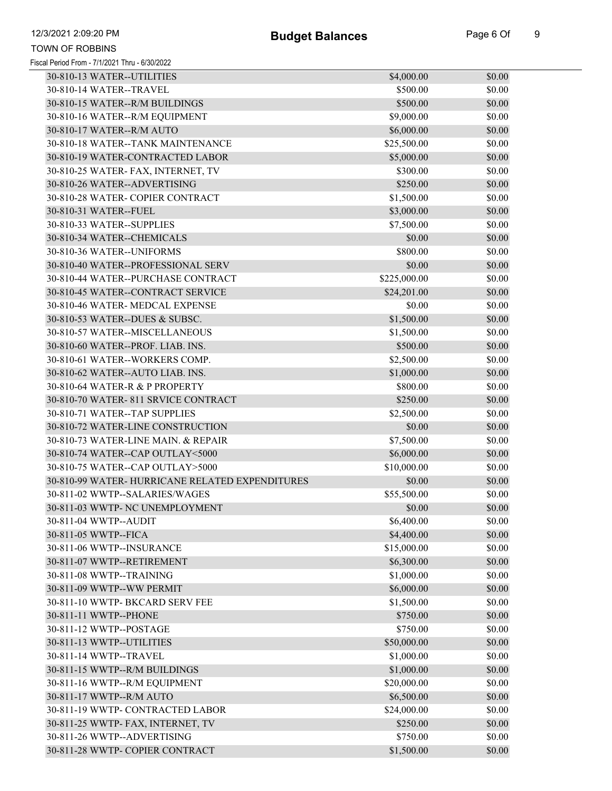| 30-810-13 WATER--UTILITIES                      | \$4,000.00   | \$0.00 |
|-------------------------------------------------|--------------|--------|
| 30-810-14 WATER--TRAVEL                         | \$500.00     | \$0.00 |
| 30-810-15 WATER--R/M BUILDINGS                  | \$500.00     | \$0.00 |
| 30-810-16 WATER--R/M EQUIPMENT                  | \$9,000.00   | \$0.00 |
| 30-810-17 WATER--R/M AUTO                       | \$6,000.00   | \$0.00 |
| 30-810-18 WATER--TANK MAINTENANCE               | \$25,500.00  | \$0.00 |
| 30-810-19 WATER-CONTRACTED LABOR                | \$5,000.00   | \$0.00 |
| 30-810-25 WATER- FAX, INTERNET, TV              | \$300.00     | \$0.00 |
| 30-810-26 WATER--ADVERTISING                    | \$250.00     | \$0.00 |
| 30-810-28 WATER- COPIER CONTRACT                | \$1,500.00   | \$0.00 |
| 30-810-31 WATER--FUEL                           | \$3,000.00   | \$0.00 |
| 30-810-33 WATER--SUPPLIES                       | \$7,500.00   | \$0.00 |
| 30-810-34 WATER--CHEMICALS                      | \$0.00       | \$0.00 |
| 30-810-36 WATER--UNIFORMS                       | \$800.00     | \$0.00 |
| 30-810-40 WATER--PROFESSIONAL SERV              | \$0.00       | \$0.00 |
| 30-810-44 WATER--PURCHASE CONTRACT              | \$225,000.00 | \$0.00 |
| 30-810-45 WATER--CONTRACT SERVICE               | \$24,201.00  | \$0.00 |
| 30-810-46 WATER- MEDCAL EXPENSE                 | \$0.00       | \$0.00 |
| 30-810-53 WATER--DUES & SUBSC.                  | \$1,500.00   | \$0.00 |
| 30-810-57 WATER--MISCELLANEOUS                  | \$1,500.00   | \$0.00 |
| 30-810-60 WATER--PROF. LIAB. INS.               | \$500.00     | \$0.00 |
| 30-810-61 WATER--WORKERS COMP.                  | \$2,500.00   | \$0.00 |
| 30-810-62 WATER--AUTO LIAB. INS.                | \$1,000.00   | \$0.00 |
| 30-810-64 WATER-R & P PROPERTY                  | \$800.00     | \$0.00 |
| 30-810-70 WATER- 811 SRVICE CONTRACT            | \$250.00     | \$0.00 |
| 30-810-71 WATER--TAP SUPPLIES                   | \$2,500.00   | \$0.00 |
| 30-810-72 WATER-LINE CONSTRUCTION               | \$0.00       | \$0.00 |
| 30-810-73 WATER-LINE MAIN. & REPAIR             | \$7,500.00   | \$0.00 |
| 30-810-74 WATER--CAP OUTLAY<5000                | \$6,000.00   | \$0.00 |
| 30-810-75 WATER--CAP OUTLAY>5000                | \$10,000.00  | \$0.00 |
| 30-810-99 WATER- HURRICANE RELATED EXPENDITURES | \$0.00       | \$0.00 |
| 30-811-02 WWTP--SALARIES/WAGES                  | \$55,500.00  | \$0.00 |
| 30-811-03 WWTP- NC UNEMPLOYMENT                 | \$0.00       | \$0.00 |
| 30-811-04 WWTP--AUDIT                           | \$6,400.00   | \$0.00 |
| 30-811-05 WWTP--FICA                            | \$4,400.00   | \$0.00 |
| 30-811-06 WWTP--INSURANCE                       | \$15,000.00  | \$0.00 |
| 30-811-07 WWTP--RETIREMENT                      | \$6,300.00   | \$0.00 |
| 30-811-08 WWTP--TRAINING                        | \$1,000.00   | \$0.00 |
| 30-811-09 WWTP--WW PERMIT                       | \$6,000.00   | \$0.00 |
| 30-811-10 WWTP- BKCARD SERV FEE                 | \$1,500.00   | \$0.00 |
| 30-811-11 WWTP--PHONE                           | \$750.00     | \$0.00 |
| 30-811-12 WWTP--POSTAGE                         | \$750.00     | \$0.00 |
| 30-811-13 WWTP--UTILITIES                       | \$50,000.00  | \$0.00 |
| 30-811-14 WWTP--TRAVEL                          | \$1,000.00   | \$0.00 |
| 30-811-15 WWTP--R/M BUILDINGS                   | \$1,000.00   | \$0.00 |
| 30-811-16 WWTP--R/M EQUIPMENT                   | \$20,000.00  | \$0.00 |
| 30-811-17 WWTP--R/M AUTO                        | \$6,500.00   | \$0.00 |
| 30-811-19 WWTP- CONTRACTED LABOR                | \$24,000.00  | \$0.00 |
| 30-811-25 WWTP- FAX, INTERNET, TV               | \$250.00     | \$0.00 |
| 30-811-26 WWTP--ADVERTISING                     | \$750.00     | \$0.00 |
| 30-811-28 WWTP- COPIER CONTRACT                 | \$1,500.00   | \$0.00 |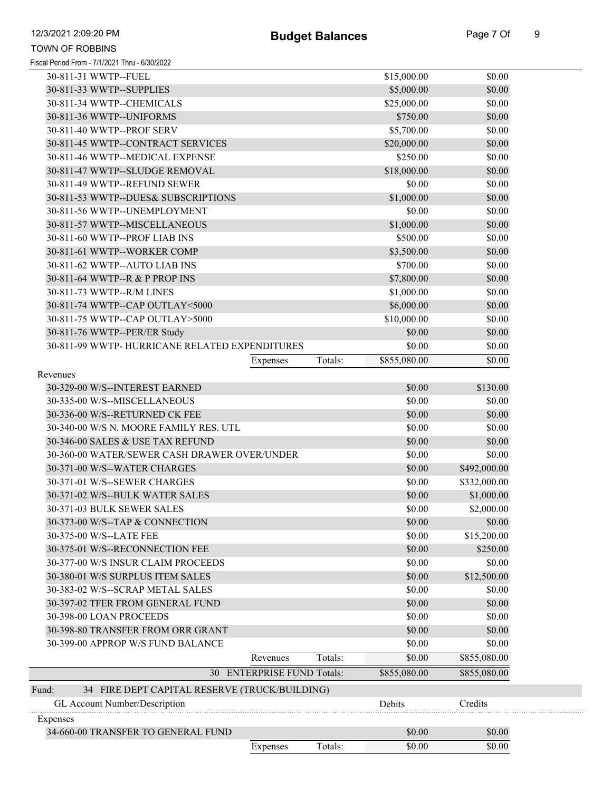|                                                                     | Expenses                   | Totals: | \$0.00                | \$0.00           |  |
|---------------------------------------------------------------------|----------------------------|---------|-----------------------|------------------|--|
| 34-660-00 TRANSFER TO GENERAL FUND                                  |                            |         | \$0.00                | \$0.00           |  |
| Expenses                                                            |                            |         |                       |                  |  |
| GL Account Number/Description                                       |                            |         | Debits                | Credits          |  |
| Fund:<br>34 FIRE DEPT CAPITAL RESERVE (TRUCK/BUILDING)              |                            |         |                       |                  |  |
|                                                                     | 30 ENTERPRISE FUND Totals: |         | \$855,080.00          | \$855,080.00     |  |
|                                                                     | Revenues                   | Totals: | \$0.00                | \$855,080.00     |  |
| 30-399-00 APPROP W/S FUND BALANCE                                   |                            |         | \$0.00                | \$0.00           |  |
| 30-398-80 TRANSFER FROM ORR GRANT                                   |                            |         | \$0.00                | \$0.00           |  |
| 30-398-00 LOAN PROCEEDS                                             |                            |         | \$0.00                | \$0.00           |  |
| 30-397-02 TFER FROM GENERAL FUND                                    |                            |         | \$0.00                | \$0.00           |  |
| 30-383-02 W/S--SCRAP METAL SALES                                    |                            |         | \$0.00                | \$0.00           |  |
| 30-380-01 W/S SURPLUS ITEM SALES                                    |                            |         | \$0.00                | \$12,500.00      |  |
| 30-377-00 W/S INSUR CLAIM PROCEEDS                                  |                            |         | \$0.00                | \$0.00           |  |
| 30-375-01 W/S--RECONNECTION FEE                                     |                            |         | \$0.00                | \$250.00         |  |
| 30-375-00 W/S--LATE FEE                                             |                            |         | \$0.00                | \$15,200.00      |  |
| 30-373-00 W/S--TAP & CONNECTION                                     |                            |         | \$0.00                | \$0.00           |  |
| 30-371-03 BULK SEWER SALES                                          |                            |         | \$0.00                | \$2,000.00       |  |
| 30-371-02 W/S--BULK WATER SALES                                     |                            |         | \$0.00                | \$1,000.00       |  |
| 30-371-01 W/S--SEWER CHARGES                                        |                            |         | \$0.00                | \$332,000.00     |  |
| 30-371-00 W/S--WATER CHARGES                                        |                            |         | \$0.00                | \$492,000.00     |  |
| 30-360-00 WATER/SEWER CASH DRAWER OVER/UNDER                        |                            |         | \$0.00                | \$0.00           |  |
| 30-346-00 SALES & USE TAX REFUND                                    |                            |         | \$0.00                | \$0.00           |  |
| 30-340-00 W/S N. MOORE FAMILY RES. UTL                              |                            |         | \$0.00                | \$0.00           |  |
| 30-336-00 W/S--RETURNED CK FEE                                      |                            |         | \$0.00                | \$0.00           |  |
| 30-335-00 W/S--MISCELLANEOUS                                        |                            |         | \$0.00                | \$0.00           |  |
| 30-329-00 W/S--INTEREST EARNED                                      |                            |         | \$0.00                | \$130.00         |  |
| Revenues                                                            |                            |         |                       |                  |  |
|                                                                     | Expenses                   | Totals: | \$855,080.00          | \$0.00           |  |
| 30-811-99 WWTP- HURRICANE RELATED EXPENDITURES                      |                            |         | \$0.00                | \$0.00           |  |
| 30-811-76 WWTP--PER/ER Study                                        |                            |         | \$0.00                | \$0.00           |  |
| 30-811-75 WWTP--CAP OUTLAY>5000                                     |                            |         | \$10,000.00           | \$0.00           |  |
| 30-811-74 WWTP--CAP OUTLAY<5000                                     |                            |         | \$6,000.00            | \$0.00           |  |
| 30-811-73 WWTP--R/M LINES                                           |                            |         | \$1,000.00            | \$0.00           |  |
| 30-811-64 WWTP--R & P PROP INS                                      |                            |         | \$7,800.00            | \$0.00           |  |
| 30-811-62 WWTP--AUTO LIAB INS                                       |                            |         | \$700.00              | \$0.00           |  |
| 30-811-61 WWTP--WORKER COMP                                         |                            |         | \$3,500.00            | \$0.00           |  |
| 30-811-60 WWTP--PROF LIAB INS                                       |                            |         | \$500.00              | \$0.00           |  |
| 30-811-57 WWTP--MISCELLANEOUS                                       |                            |         | \$1,000.00            | \$0.00           |  |
| 30-811-56 WWTP--UNEMPLOYMENT                                        |                            |         | \$0.00                | \$0.00           |  |
| 30-811-49 WWTP--REFUND SEWER<br>30-811-53 WWTP--DUES& SUBSCRIPTIONS |                            |         | \$1,000.00            | \$0.00<br>\$0.00 |  |
| 30-811-47 WWTP--SLUDGE REMOVAL                                      |                            |         | \$18,000.00<br>\$0.00 | \$0.00           |  |
| 30-811-46 WWTP--MEDICAL EXPENSE                                     |                            |         | \$250.00              | \$0.00           |  |
| 30-811-45 WWTP--CONTRACT SERVICES                                   |                            |         | \$20,000.00           | \$0.00           |  |
| 30-811-40 WWTP--PROF SERV                                           |                            |         | \$5,700.00            | \$0.00           |  |
| 30-811-36 WWTP--UNIFORMS                                            |                            |         | \$750.00              | \$0.00           |  |
| 30-811-34 WWTP--CHEMICALS                                           |                            |         | \$25,000.00           | \$0.00           |  |
| 30-811-33 WWTP--SUPPLIES                                            |                            |         | \$5,000.00            | \$0.00           |  |
| 30-811-31 WWTP--FUEL                                                |                            |         | \$15,000.00           | \$0.00           |  |
|                                                                     |                            |         |                       |                  |  |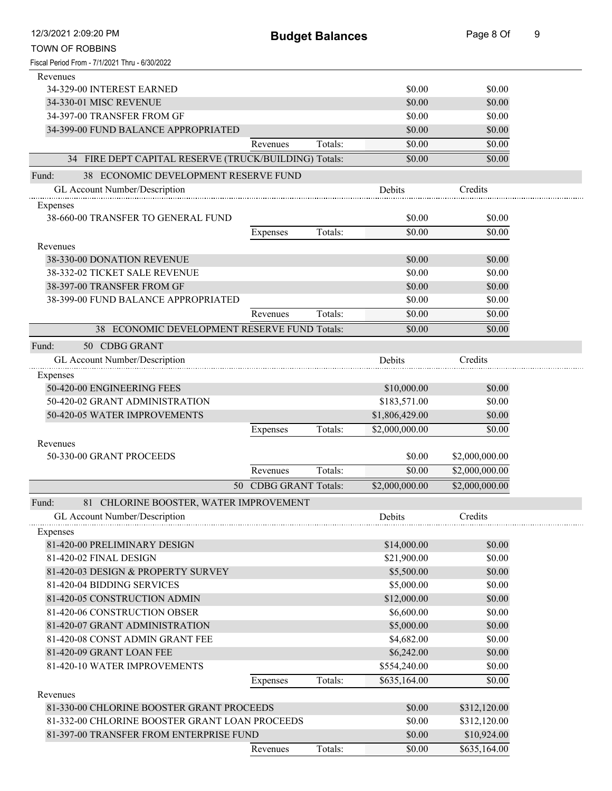| 12/3/2021 2:09:20 PM                                  |                       | <b>Budget Balances</b> |                | Page 8 Of      | 9 |
|-------------------------------------------------------|-----------------------|------------------------|----------------|----------------|---|
| <b>TOWN OF ROBBINS</b>                                |                       |                        |                |                |   |
| Fiscal Period From - 7/1/2021 Thru - 6/30/2022        |                       |                        |                |                |   |
| Revenues                                              |                       |                        |                |                |   |
| 34-329-00 INTEREST EARNED                             |                       |                        | \$0.00         | \$0.00         |   |
| 34-330-01 MISC REVENUE                                |                       |                        | \$0.00         | \$0.00         |   |
| 34-397-00 TRANSFER FROM GF                            |                       |                        | \$0.00         | \$0.00         |   |
| 34-399-00 FUND BALANCE APPROPRIATED                   |                       |                        | \$0.00         | \$0.00         |   |
|                                                       | Revenues              | Totals:                | \$0.00         | \$0.00         |   |
| 34 FIRE DEPT CAPITAL RESERVE (TRUCK/BUILDING) Totals: |                       |                        | \$0.00         | \$0.00         |   |
|                                                       |                       |                        |                |                |   |
| 38 ECONOMIC DEVELOPMENT RESERVE FUND<br>Fund:         |                       |                        |                |                |   |
| GL Account Number/Description                         |                       |                        | Debits         | Credits        |   |
| Expenses                                              |                       |                        |                |                |   |
| 38-660-00 TRANSFER TO GENERAL FUND                    |                       |                        | \$0.00         | \$0.00         |   |
|                                                       | Expenses              | Totals:                | \$0.00         | \$0.00         |   |
| Revenues                                              |                       |                        |                |                |   |
| 38-330-00 DONATION REVENUE                            |                       |                        | \$0.00         | \$0.00         |   |
| 38-332-02 TICKET SALE REVENUE                         |                       |                        | \$0.00         | \$0.00         |   |
| 38-397-00 TRANSFER FROM GF                            |                       |                        | \$0.00         | \$0.00         |   |
| 38-399-00 FUND BALANCE APPROPRIATED                   |                       |                        | \$0.00         | \$0.00         |   |
|                                                       | Revenues              | Totals:                | \$0.00         | \$0.00         |   |
| 38 ECONOMIC DEVELOPMENT RESERVE FUND Totals:          |                       |                        | \$0.00         | \$0.00         |   |
| Fund:<br>50 CDBG GRANT                                |                       |                        |                |                |   |
|                                                       |                       |                        |                | Credits        |   |
| GL Account Number/Description                         |                       |                        | <b>Debits</b>  |                |   |
| Expenses                                              |                       |                        |                |                |   |
| 50-420-00 ENGINEERING FEES                            |                       |                        | \$10,000.00    | \$0.00         |   |
| 50-420-02 GRANT ADMINISTRATION                        |                       |                        | \$183,571.00   | \$0.00         |   |
| 50-420-05 WATER IMPROVEMENTS                          |                       |                        | \$1,806,429.00 | \$0.00         |   |
|                                                       | Expenses              | Totals:                | \$2,000,000.00 | \$0.00         |   |
| Revenues                                              |                       |                        |                |                |   |
| 50-330-00 GRANT PROCEEDS                              |                       |                        | \$0.00         | \$2,000,000.00 |   |
|                                                       | Revenues              | Totals:                | \$0.00         | \$2,000,000.00 |   |
|                                                       | 50 CDBG GRANT Totals: |                        | \$2,000,000.00 | \$2,000,000.00 |   |
| 81 CHLORINE BOOSTER, WATER IMPROVEMENT<br>Fund:       |                       |                        |                |                |   |
| GL Account Number/Description                         |                       |                        | Debits         | Credits        |   |
| Expenses                                              |                       |                        |                |                |   |
| 81-420-00 PRELIMINARY DESIGN                          |                       |                        | \$14,000.00    | \$0.00         |   |
| 81-420-02 FINAL DESIGN                                |                       |                        | \$21,900.00    | \$0.00         |   |
| 81-420-03 DESIGN & PROPERTY SURVEY                    |                       |                        | \$5,500.00     | \$0.00         |   |
| 81-420-04 BIDDING SERVICES                            |                       |                        | \$5,000.00     | \$0.00         |   |
| 81-420-05 CONSTRUCTION ADMIN                          |                       |                        | \$12,000.00    | \$0.00         |   |
| 81-420-06 CONSTRUCTION OBSER                          |                       |                        | \$6,600.00     | \$0.00         |   |
| 81-420-07 GRANT ADMINISTRATION                        |                       |                        | \$5,000.00     | \$0.00         |   |
| 81-420-08 CONST ADMIN GRANT FEE                       |                       |                        | \$4,682.00     | \$0.00         |   |
| 81-420-09 GRANT LOAN FEE                              |                       |                        | \$6,242.00     | \$0.00         |   |
| 81-420-10 WATER IMPROVEMENTS                          |                       |                        | \$554,240.00   |                |   |
|                                                       |                       |                        |                | \$0.00         |   |
|                                                       | Expenses              | Totals:                | \$635,164.00   | \$0.00         |   |
| Revenues                                              |                       |                        |                |                |   |
| 81-330-00 CHLORINE BOOSTER GRANT PROCEEDS             |                       |                        | \$0.00         | \$312,120.00   |   |
| 81-332-00 CHLORINE BOOSTER GRANT LOAN PROCEEDS        |                       |                        | \$0.00         | \$312,120.00   |   |
| 81-397-00 TRANSFER FROM ENTERPRISE FUND               |                       |                        | \$0.00         | \$10,924.00    |   |
|                                                       | Revenues              | Totals:                | \$0.00         | \$635,164.00   |   |